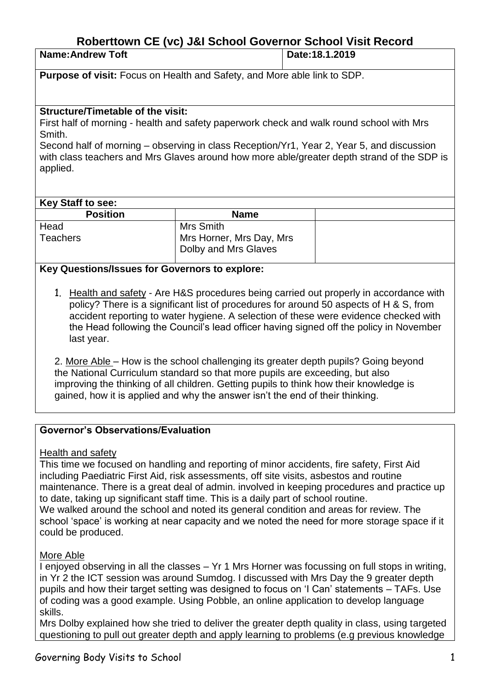# **Roberttown CE (vc) J&I School Governor School Visit Record**

| <b>Name:Andrew Toft</b>                                                         | Date: 18.1.2019 |
|---------------------------------------------------------------------------------|-----------------|
| <b>Purpose of visit:</b> Focus on Health and Safety, and More able link to SDP. |                 |

### **Structure/Timetable of the visit:**

First half of morning - health and safety paperwork check and walk round school with Mrs Smith.

Second half of morning – observing in class Reception/Yr1, Year 2, Year 5, and discussion with class teachers and Mrs Glaves around how more able/greater depth strand of the SDP is applied.

#### **Key Staff to see:**

| <b>Name</b>              |  |
|--------------------------|--|
| Mrs Smith                |  |
| Mrs Horner, Mrs Day, Mrs |  |
| Dolby and Mrs Glaves     |  |
|                          |  |

# **Key Questions/Issues for Governors to explore:**

1. Health and safety - Are H&S procedures being carried out properly in accordance with policy? There is a significant list of procedures for around 50 aspects of H & S, from accident reporting to water hygiene. A selection of these were evidence checked with the Head following the Council's lead officer having signed off the policy in November last year.

2. More Able – How is the school challenging its greater depth pupils? Going beyond the National Curriculum standard so that more pupils are exceeding, but also improving the thinking of all children. Getting pupils to think how their knowledge is gained, how it is applied and why the answer isn't the end of their thinking.

# **Governor's Observations/Evaluation**

Health and safety

This time we focused on handling and reporting of minor accidents, fire safety, First Aid including Paediatric First Aid, risk assessments, off site visits, asbestos and routine maintenance. There is a great deal of admin. involved in keeping procedures and practice up to date, taking up significant staff time. This is a daily part of school routine. We walked around the school and noted its general condition and areas for review. The school 'space' is working at near capacity and we noted the need for more storage space if it could be produced.

# More Able

I enjoyed observing in all the classes – Yr 1 Mrs Horner was focussing on full stops in writing, in Yr 2 the ICT session was around Sumdog. I discussed with Mrs Day the 9 greater depth pupils and how their target setting was designed to focus on 'I Can' statements – TAFs. Use of coding was a good example. Using Pobble, an online application to develop language skills.

Mrs Dolby explained how she tried to deliver the greater depth quality in class, using targeted questioning to pull out greater depth and apply learning to problems (e.g previous knowledge